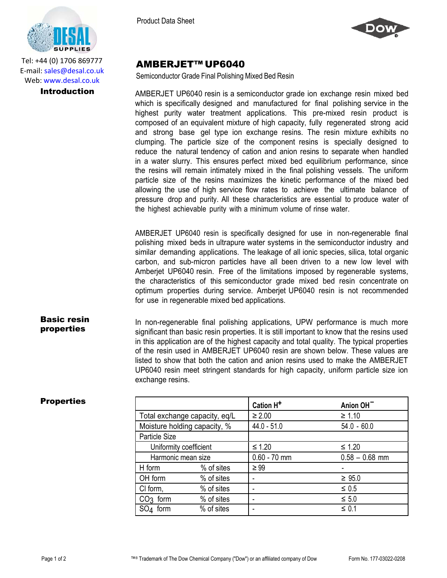

Tel: +44 (0) 1706 869777 E‐mail: sales@desal.co.uk Web: www.desal.co.uk



## AMBERJET™ UP6040

Semiconductor Grade Final Polishing Mixed Bed Resin

**Introduction** AMBERJET UP6040 resin is a semiconductor grade ion exchange resin mixed bed which is specifically designed and manufactured for final polishing service in the highest purity water treatment applications. This pre-mixed resin product is composed of an equivalent mixture of high capacity, fully regenerated strong acid and strong base gel type ion exchange resins. The resin mixture exhibits no clumping. The particle size of the component resins is specially designed to reduce the natural tendency of cation and anion resins to separate when handled in a water slurry. This ensures perfect mixed bed equilibrium performance, since the resins will remain intimately mixed in the final polishing vessels. The uniform particle size of the resins maximizes the kinetic performance of the mixed bed allowing the use of high service flow rates to achieve the ultimate balance of pressure drop and purity. All these characteristics are essential to produce water of the highest achievable purity with a minimum volume of rinse water.

> AMBERJET UP6040 resin is specifically designed for use in non-regenerable final polishing mixed beds in ultrapure water systems in the semiconductor industry and similar demanding applications. The leakage of all ionic species, silica, total organic carbon, and sub-micron particles have all been driven to a new low level with Amberjet UP6040 resin. Free of the limitations imposed by regenerable systems, the characteristics of this semiconductor grade mixed bed resin concentrate on optimum properties during service. Amberjet UP6040 resin is not recommended for use in regenerable mixed bed applications.

Basic resin properties In non-regenerable final polishing applications, UPW performance is much more significant than basic resin properties. It is still important to know that the resins used in this application are of the highest capacity and total quality. The typical properties of the resin used in AMBERJET UP6040 resin are shown below. These values are listed to show that both the cation and anion resins used to make the AMBERJET UP6040 resin meet stringent standards for high capacity, uniform particle size ion exchange resins.

| Properties |
|------------|
|------------|

| <b>Properties</b> |                               |            | Cation H <sup>+</sup> | Anion OH <sup>-</sup> |
|-------------------|-------------------------------|------------|-----------------------|-----------------------|
|                   | Total exchange capacity, eq/L |            | $\geq 2.00$           | $\geq 1.10$           |
|                   | Moisture holding capacity, %  |            | $44.0 - 51.0$         | $54.0 - 60.0$         |
|                   | Particle Size                 |            |                       |                       |
|                   | Uniformity coefficient        |            | $\leq 1.20$           | $\leq 1.20$           |
|                   | Harmonic mean size            |            | $0.60 - 70$ mm        | $0.58 - 0.68$ mm      |
|                   | H form                        | % of sites | $\geq 99$             |                       |
|                   | OH form                       | % of sites |                       | $\geq 95.0$           |
|                   | CI form,                      | % of sites | ٠                     | $\leq 0.5$            |
|                   | $CO3$ form                    | % of sites |                       | $\leq 5.0$            |
|                   | SO <sub>4</sub> form          | % of sites |                       | $\leq 0.1$            |